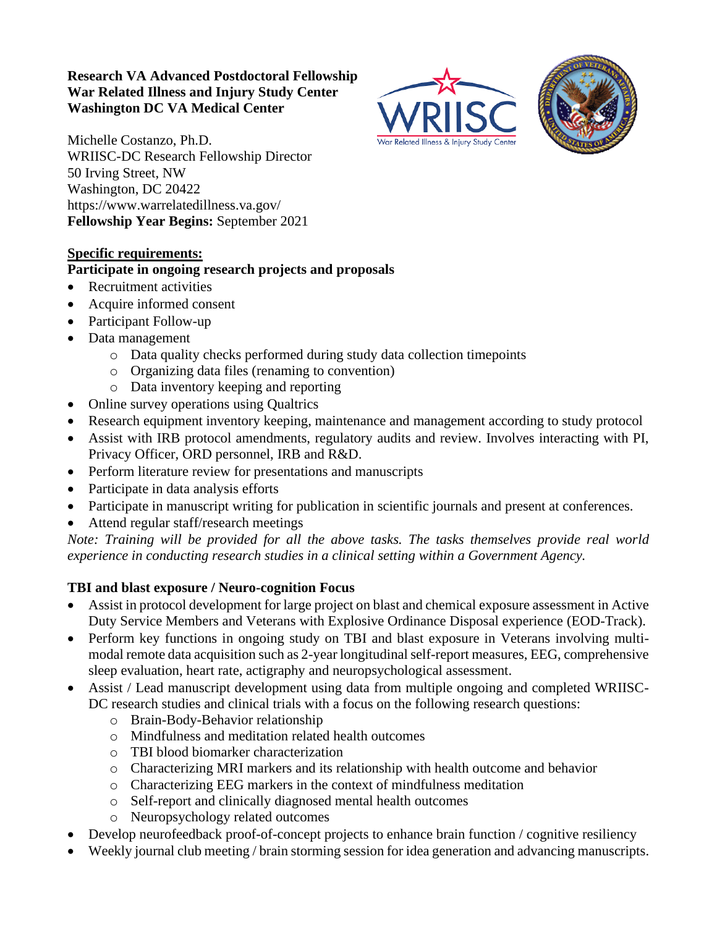### **Research VA Advanced Postdoctoral Fellowship War Related Illness and Injury Study Center Washington DC VA Medical Center**





Michelle Costanzo, Ph.D. WRIISC-DC Research Fellowship Director 50 Irving Street, NW Washington, DC 20422 https://www.warrelatedillness.va.gov/ **Fellowship Year Begins:** September 2021

# **Specific requirements:**

### **Participate in ongoing research projects and proposals**

- Recruitment activities
- Acquire informed consent
- Participant Follow-up
- Data management
	- o Data quality checks performed during study data collection timepoints
	- o Organizing data files (renaming to convention)
	- o Data inventory keeping and reporting
- Online survey operations using Qualtrics
- Research equipment inventory keeping, maintenance and management according to study protocol
- Assist with IRB protocol amendments, regulatory audits and review. Involves interacting with PI, Privacy Officer, ORD personnel, IRB and R&D.
- Perform literature review for presentations and manuscripts
- Participate in data analysis efforts
- Participate in manuscript writing for publication in scientific journals and present at conferences.
- Attend regular staff/research meetings

*Note: Training will be provided for all the above tasks. The tasks themselves provide real world experience in conducting research studies in a clinical setting within a Government Agency.* 

# **TBI and blast exposure / Neuro-cognition Focus**

- Assist in protocol development for large project on blast and chemical exposure assessment in Active Duty Service Members and Veterans with Explosive Ordinance Disposal experience (EOD-Track).
- Perform key functions in ongoing study on TBI and blast exposure in Veterans involving multimodal remote data acquisition such as 2-year longitudinal self-report measures, EEG, comprehensive sleep evaluation, heart rate, actigraphy and neuropsychological assessment.
- Assist / Lead manuscript development using data from multiple ongoing and completed WRIISC-DC research studies and clinical trials with a focus on the following research questions:
	- o Brain-Body-Behavior relationship
	- o Mindfulness and meditation related health outcomes
	- o TBI blood biomarker characterization
	- o Characterizing MRI markers and its relationship with health outcome and behavior
	- o Characterizing EEG markers in the context of mindfulness meditation
	- o Self-report and clinically diagnosed mental health outcomes
	- o Neuropsychology related outcomes
- Develop neurofeedback proof-of-concept projects to enhance brain function / cognitive resiliency
- Weekly journal club meeting / brain storming session for idea generation and advancing manuscripts.